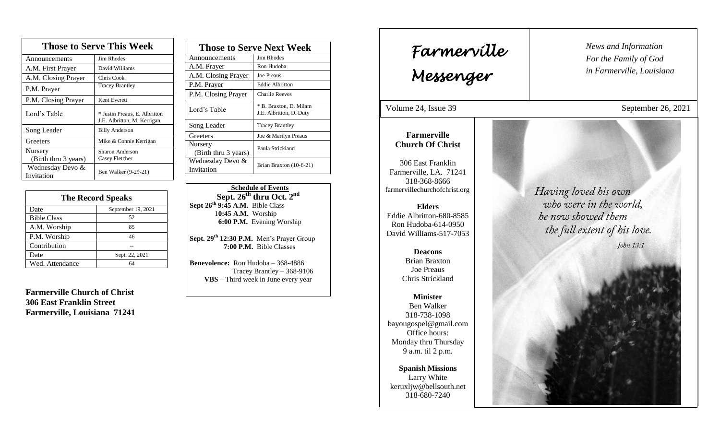| <b>Those to Serve This Week</b> |                                                              |  |
|---------------------------------|--------------------------------------------------------------|--|
| Announcements                   | Jim Rhodes                                                   |  |
| A.M. First Prayer               | David Williams                                               |  |
| A.M. Closing Prayer             | Chris Cook                                                   |  |
| P.M. Prayer                     | <b>Tracey Brantley</b>                                       |  |
| P.M. Closing Prayer             | Kent Everett                                                 |  |
| Lord's Table                    | * Justin Preaus, E. Albritton<br>J.E. Albritton, M. Kerrigan |  |
| Song Leader                     | <b>Billy Anderson</b>                                        |  |
| Greeters                        | Mike & Connie Kerrigan                                       |  |
| Nursery                         | Sharon Anderson<br>Casey Fletcher                            |  |
| (Birth thru 3 years)            |                                                              |  |
| Wednesday Devo &<br>Invitation  | Ben Walker (9-29-21)                                         |  |

| <b>The Record Speaks</b> |                    |
|--------------------------|--------------------|
| Date                     | September 19, 2021 |
| <b>Bible Class</b>       | 52                 |
| A.M. Worship             | 85                 |
| P.M. Worship             | 46                 |
| Contribution             |                    |
| Date                     | Sept. 22, 2021     |
| Wed. Attendance          | 64                 |

**Farmerville Church of Christ 306 East Franklin Street Farmerville, Louisiana 71241**

| <b>Those to Serve Next Week</b> |                                                   |
|---------------------------------|---------------------------------------------------|
| Announcements                   | Jim Rhodes                                        |
| A.M. Prayer                     | Ron Hudoba                                        |
| A.M. Closing Prayer             | <b>Joe Preaus</b>                                 |
| P.M. Prayer                     | <b>Eddie Albritton</b>                            |
| P.M. Closing Prayer             | <b>Charlie Reeves</b>                             |
| Lord's Table                    | * B. Braxton, D. Milam<br>J.E. Albritton, D. Duty |
| Song Leader                     | <b>Tracey Brantley</b>                            |
| Greeters                        | Joe & Marilyn Preaus                              |
| Nursery<br>(Birth thru 3 years) | Paula Strickland                                  |
| Wednesday Devo &<br>Invitation  | Brian Braxton (10-6-21)                           |

 **Schedule of Events Sept. 26th thru Oct. 2 nd Sept 26th 9:45 A.M.** Bible Class 1**0:45 A.M.** Worship  **6:00 P.M.** Evening Worship

**Sept. 29 th 12:30 P.M.** Men's Prayer Group **7:00 P.M.** Bible Classes

**Benevolence:** Ron Hudoba – 368-4886 Tracey Brantley – 368-9106 **VBS** – Third week in June every year